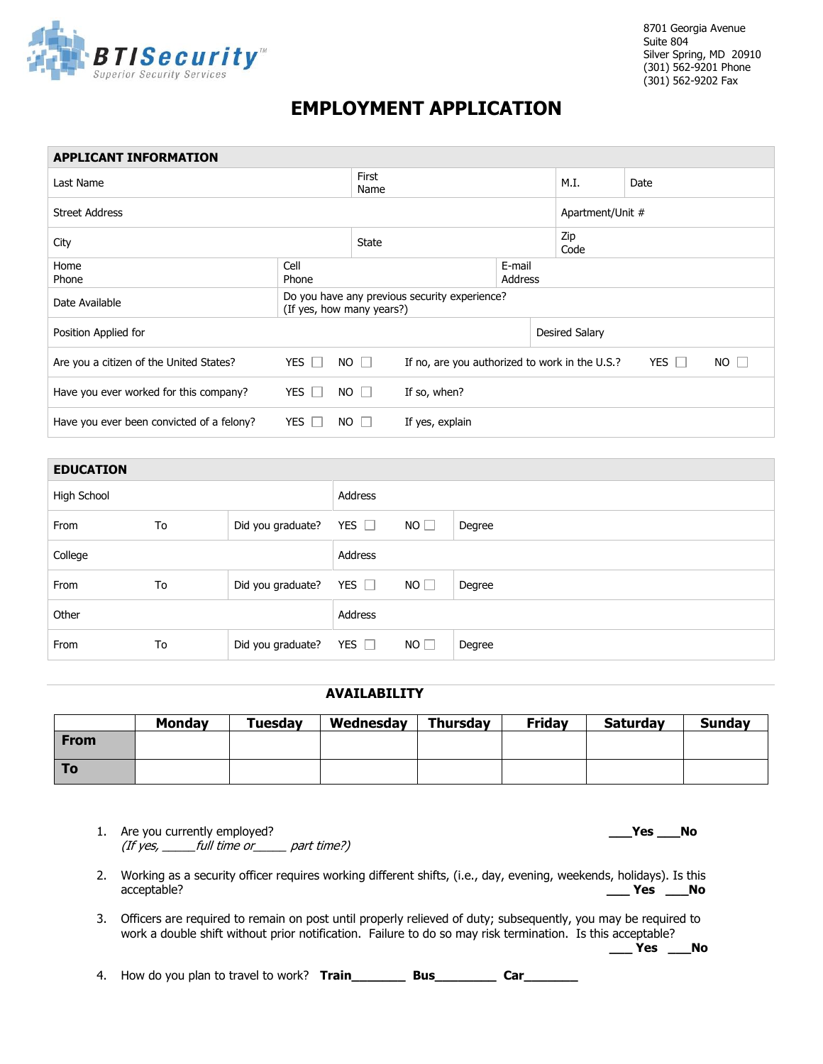

8701 Georgia Avenue Suite 804 Silver Spring, MD 20910 (301) 562-9201 Phone (301) 562-9202 Fax

## **EMPLOYMENT APPLICATION**

| <b>APPLICANT INFORMATION</b>              |                                                                            |             |                                                                                             |                  |                |      |  |  |
|-------------------------------------------|----------------------------------------------------------------------------|-------------|---------------------------------------------------------------------------------------------|------------------|----------------|------|--|--|
| Last Name                                 |                                                                            |             | First<br>Name                                                                               |                  | M.I.           | Date |  |  |
| <b>Street Address</b>                     |                                                                            |             |                                                                                             | Apartment/Unit # |                |      |  |  |
| City                                      |                                                                            |             | <b>State</b>                                                                                |                  | Zip<br>Code    |      |  |  |
| Home<br>Phone                             | Cell<br>E-mail<br>Address<br>Phone                                         |             |                                                                                             |                  |                |      |  |  |
| Date Available                            | Do you have any previous security experience?<br>(If yes, how many years?) |             |                                                                                             |                  |                |      |  |  |
| Position Applied for                      |                                                                            |             |                                                                                             |                  | Desired Salary |      |  |  |
| Are you a citizen of the United States?   | YES $\Box$                                                                 | $NO$ $\Box$ | $NO$ $\Box$<br><b>YES</b><br>If no, are you authorized to work in the U.S.?<br>$\mathbf{1}$ |                  |                |      |  |  |
| Have you ever worked for this company?    | YES $\Box$                                                                 | $NO$ $\Box$ | If so, when?                                                                                |                  |                |      |  |  |
| Have you ever been convicted of a felony? | YES $\Box$                                                                 | $NO$ $\Box$ | If yes, explain                                                                             |                  |                |      |  |  |
|                                           |                                                                            |             |                                                                                             |                  |                |      |  |  |

| <b>EDUCATION</b> |    |                   |            |    |        |  |
|------------------|----|-------------------|------------|----|--------|--|
| High School      |    |                   | Address    |    |        |  |
| From             | To | Did you graduate? | YES $\Box$ | NO | Degree |  |
| College          |    | Address           |            |    |        |  |
| From             | To | Did you graduate? | YES $\Box$ | NO | Degree |  |
| Other            |    | Address           |            |    |        |  |
| From             | To | Did you graduate? | YES $\Box$ | NO | Degree |  |

## **AVAILABILITY**

|             | <b>Monday</b> | Tuesday | Wednesday | <b>Thursday</b> | <b>Friday</b> | <b>Saturday</b> | <b>Sunday</b> |
|-------------|---------------|---------|-----------|-----------------|---------------|-----------------|---------------|
| <b>From</b> |               |         |           |                 |               |                 |               |
| To          |               |         |           |                 |               |                 |               |

|    | Are you currently employed?<br><b>Yes</b><br>No<br>(If yes, ______full time or _____ part time?)                                                                                                                                                  |
|----|---------------------------------------------------------------------------------------------------------------------------------------------------------------------------------------------------------------------------------------------------|
|    | Working as a security officer requires working different shifts, (i.e., day, evening, weekends, holidays). Is this<br>acceptable?<br>- No<br><b>Yes</b>                                                                                           |
|    | Officers are required to remain on post until properly relieved of duty; subsequently, you may be required to<br>work a double shift without prior notification. Failure to do so may risk termination. Is this acceptable?<br><b>Yes</b><br>- No |
| 4. | How do you plan to travel to work? Train<br>Bus<br><b>Car</b>                                                                                                                                                                                     |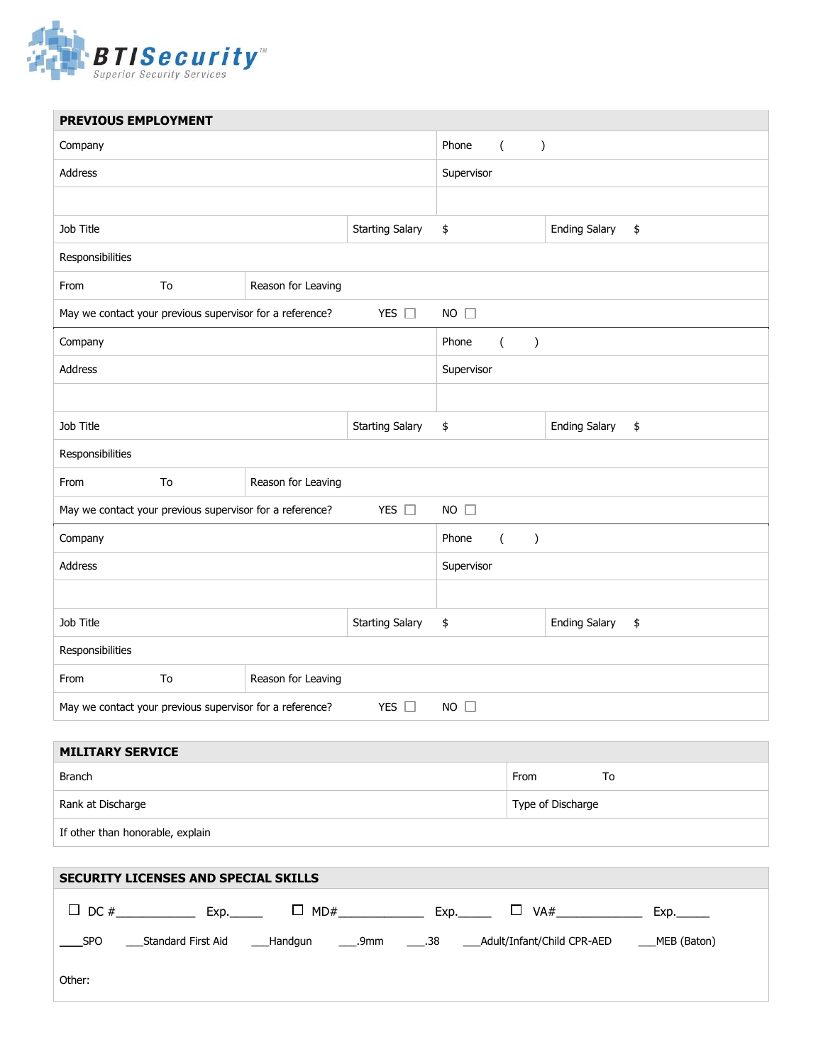

| PREVIOUS EMPLOYMENT                                                                         |                    |                        |                                               |                            |  |  |
|---------------------------------------------------------------------------------------------|--------------------|------------------------|-----------------------------------------------|----------------------------|--|--|
| Company                                                                                     |                    |                        | Phone<br>$\sqrt{2}$<br>$\lambda$              |                            |  |  |
| Address                                                                                     |                    |                        | Supervisor                                    |                            |  |  |
|                                                                                             |                    |                        |                                               |                            |  |  |
| Job Title                                                                                   |                    | <b>Starting Salary</b> | \$                                            | <b>Ending Salary</b><br>\$ |  |  |
| Responsibilities                                                                            |                    |                        |                                               |                            |  |  |
| To<br>From                                                                                  | Reason for Leaving |                        |                                               |                            |  |  |
| May we contact your previous supervisor for a reference?                                    |                    | YES $\square$          | $NO$ $\Box$                                   |                            |  |  |
| Company                                                                                     |                    |                        | Phone<br>$\overline{(\ }$<br>$\left( \right)$ |                            |  |  |
| Address                                                                                     |                    |                        | Supervisor                                    |                            |  |  |
|                                                                                             |                    |                        |                                               |                            |  |  |
| Job Title                                                                                   |                    | <b>Starting Salary</b> | \$                                            | <b>Ending Salary</b><br>\$ |  |  |
| Responsibilities                                                                            |                    |                        |                                               |                            |  |  |
| To<br>Reason for Leaving<br>From                                                            |                    |                        |                                               |                            |  |  |
| YES $\square$<br>$NO$ $\square$<br>May we contact your previous supervisor for a reference? |                    |                        |                                               |                            |  |  |
| Company<br>Phone<br>$\overline{(\ }$                                                        |                    |                        |                                               |                            |  |  |
| Address                                                                                     |                    |                        | Supervisor                                    |                            |  |  |
|                                                                                             |                    |                        |                                               |                            |  |  |
| Job Title<br><b>Starting Salary</b>                                                         |                    |                        | \$                                            | <b>Ending Salary</b><br>\$ |  |  |
| Responsibilities                                                                            |                    |                        |                                               |                            |  |  |
| To<br>From                                                                                  | Reason for Leaving |                        |                                               |                            |  |  |
| May we contact your previous supervisor for a reference?<br>YES $\square$<br>$NO$ $\square$ |                    |                        |                                               |                            |  |  |

| <b>MILITARY SERVICE</b>          |                   |  |  |  |  |
|----------------------------------|-------------------|--|--|--|--|
| Branch                           | From<br>To        |  |  |  |  |
| Rank at Discharge                | Type of Discharge |  |  |  |  |
| If other than honorable, explain |                   |  |  |  |  |

| <b>SECURITY LICENSES AND SPECIAL SKILLS</b> |                     |            |                                                               |             |  |  |  |
|---------------------------------------------|---------------------|------------|---------------------------------------------------------------|-------------|--|--|--|
|                                             | $\Box$ DC #<br>Exp. | $\Box$ MD# | VA#<br>Exp.<br>$\Box$                                         | Exp.        |  |  |  |
| SPO                                         | Standard First Aid  |            | ___Handgun _____.9mm _____.38 _____Adult/Infant/Child CPR-AED | MEB (Baton) |  |  |  |
| Other:                                      |                     |            |                                                               |             |  |  |  |